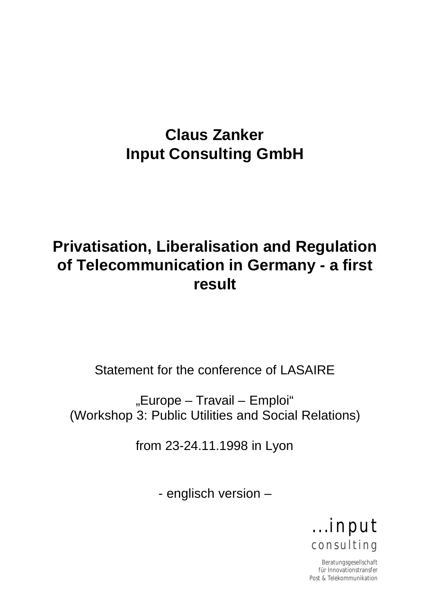# **Claus Zanker Input Consulting GmbH**

# **Privatisation, Liberalisation and Regulation of Telecommunication in Germany - a first result**

Statement for the conference of LASAIRE

"Europe – Travail – Emploi" (Workshop 3: Public Utilities and Social Relations)

from 23-24.11.1998 in Lyon

- englisch version –



Beratungsgesellschaft für Innovationstransfer Post & Telekommunikation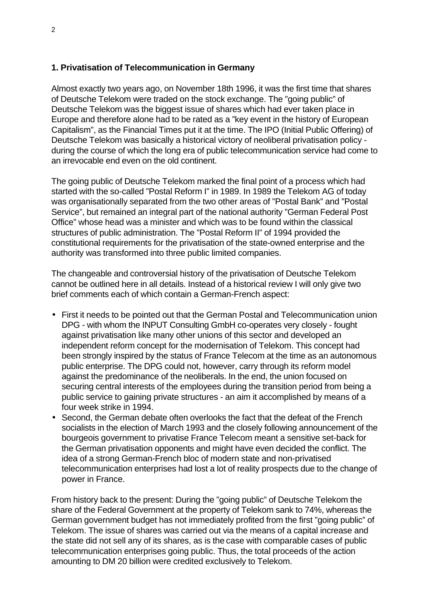### **1. Privatisation of Telecommunication in Germany**

Almost exactly two years ago, on November 18th 1996, it was the first time that shares of Deutsche Telekom were traded on the stock exchange. The "going public" of Deutsche Telekom was the biggest issue of shares which had ever taken place in Europe and therefore alone had to be rated as a "key event in the history of European Capitalism", as the Financial Times put it at the time. The IPO (Initial Public Offering) of Deutsche Telekom was basically a historical victory of neoliberal privatisation policy during the course of which the long era of public telecommunication service had come to an irrevocable end even on the old continent.

The going public of Deutsche Telekom marked the final point of a process which had started with the so-called "Postal Reform I" in 1989. In 1989 the Telekom AG of today was organisationally separated from the two other areas of "Postal Bank" and "Postal Service", but remained an integral part of the national authority "German Federal Post Office" whose head was a minister and which was to be found within the classical structures of public administration. The "Postal Reform II" of 1994 provided the constitutional requirements for the privatisation of the state-owned enterprise and the authority was transformed into three public limited companies.

The changeable and controversial history of the privatisation of Deutsche Telekom cannot be outlined here in all details. Instead of a historical review I will only give two brief comments each of which contain a German-French aspect:

- First it needs to be pointed out that the German Postal and Telecommunication union DPG - with whom the INPUT Consulting GmbH co-operates very closely - fought against privatisation like many other unions of this sector and developed an independent reform concept for the modernisation of Telekom. This concept had been strongly inspired by the status of France Telecom at the time as an autonomous public enterprise. The DPG could not, however, carry through its reform model against the predominance of the neoliberals. In the end, the union focused on securing central interests of the employees during the transition period from being a public service to gaining private structures - an aim it accomplished by means of a four week strike in 1994.
- Second, the German debate often overlooks the fact that the defeat of the French socialists in the election of March 1993 and the closely following announcement of the bourgeois government to privatise France Telecom meant a sensitive set-back for the German privatisation opponents and might have even decided the conflict. The idea of a strong German-French bloc of modern state and non-privatised telecommunication enterprises had lost a lot of reality prospects due to the change of power in France.

From history back to the present: During the "going public" of Deutsche Telekom the share of the Federal Government at the property of Telekom sank to 74%, whereas the German government budget has not immediately profited from the first "going public" of Telekom. The issue of shares was carried out via the means of a capital increase and the state did not sell any of its shares, as is the case with comparable cases of public telecommunication enterprises going public. Thus, the total proceeds of the action amounting to DM 20 billion were credited exclusively to Telekom.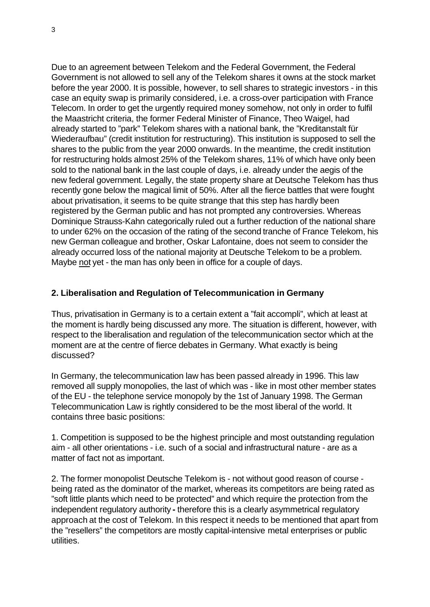Due to an agreement between Telekom and the Federal Government, the Federal Government is not allowed to sell any of the Telekom shares it owns at the stock market before the year 2000. It is possible, however, to sell shares to strategic investors - in this case an equity swap is primarily considered, i.e. a cross-over participation with France Telecom. In order to get the urgently required money somehow, not only in order to fulfil the Maastricht criteria, the former Federal Minister of Finance, Theo Waigel, had already started to "park" Telekom shares with a national bank, the "Kreditanstalt für Wiederaufbau" (credit institution for restructuring). This institution is supposed to sell the shares to the public from the year 2000 onwards. In the meantime, the credit institution for restructuring holds almost 25% of the Telekom shares, 11% of which have only been sold to the national bank in the last couple of days, i.e. already under the aegis of the new federal government. Legally, the state property share at Deutsche Telekom has thus recently gone below the magical limit of 50%. After all the fierce battles that were fought about privatisation, it seems to be quite strange that this step has hardly been registered by the German public and has not prompted any controversies. Whereas Dominique Strauss-Kahn categorically ruled out a further reduction of the national share to under 62% on the occasion of the rating of the second tranche of France Telekom, his new German colleague and brother, Oskar Lafontaine, does not seem to consider the already occurred loss of the national majority at Deutsche Telekom to be a problem. Maybe not yet - the man has only been in office for a couple of days.

#### **2. Liberalisation and Regulation of Telecommunication in Germany**

Thus, privatisation in Germany is to a certain extent a "fait accompli", which at least at the moment is hardly being discussed any more. The situation is different, however, with respect to the liberalisation and regulation of the telecommunication sector which at the moment are at the centre of fierce debates in Germany. What exactly is being discussed?

In Germany, the telecommunication law has been passed already in 1996. This law removed all supply monopolies, the last of which was - like in most other member states of the EU - the telephone service monopoly by the 1st of January 1998. The German Telecommunication Law is rightly considered to be the most liberal of the world. It contains three basic positions:

1. Competition is supposed to be the highest principle and most outstanding regulation aim - all other orientations - i.e. such of a social and infrastructural nature - are as a matter of fact not as important.

2. The former monopolist Deutsche Telekom is - not without good reason of course being rated as the dominator of the market, whereas its competitors are being rated as "soft little plants which need to be protected" and which require the protection from the independent regulatory authority **-** therefore this is a clearly asymmetrical regulatory approach at the cost of Telekom. In this respect it needs to be mentioned that apart from the "resellers" the competitors are mostly capital-intensive metal enterprises or public utilities.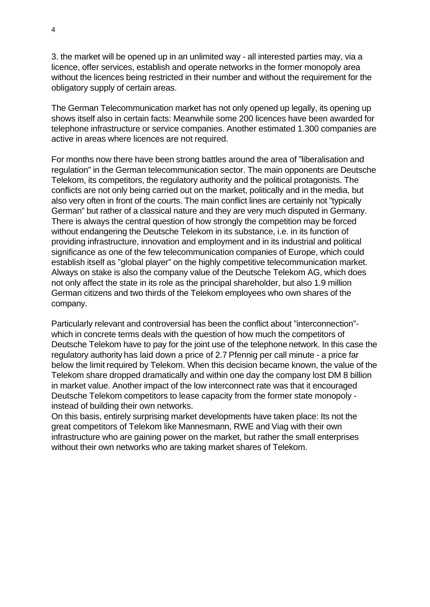3. the market will be opened up in an unlimited way - all interested parties may, via a licence, offer services, establish and operate networks in the former monopoly area without the licences being restricted in their number and without the requirement for the obligatory supply of certain areas.

The German Telecommunication market has not only opened up legally, its opening up shows itself also in certain facts: Meanwhile some 200 licences have been awarded for telephone infrastructure or service companies. Another estimated 1.300 companies are active in areas where licences are not required.

For months now there have been strong battles around the area of "liberalisation and regulation" in the German telecommunication sector. The main opponents are Deutsche Telekom, its competitors, the regulatory authority and the political protagonists. The conflicts are not only being carried out on the market, politically and in the media, but also very often in front of the courts. The main conflict lines are certainly not "typically German" but rather of a classical nature and they are very much disputed in Germany. There is always the central question of how strongly the competition may be forced without endangering the Deutsche Telekom in its substance, i.e. in its function of providing infrastructure, innovation and employment and in its industrial and political significance as one of the few telecommunication companies of Europe, which could establish itself as "global player" on the highly competitive telecommunication market. Always on stake is also the company value of the Deutsche Telekom AG, which does not only affect the state in its role as the principal shareholder, but also 1.9 million German citizens and two thirds of the Telekom employees who own shares of the company.

Particularly relevant and controversial has been the conflict about "interconnection" which in concrete terms deals with the question of how much the competitors of Deutsche Telekom have to pay for the joint use of the telephone network. In this case the regulatory authority has laid down a price of 2.7 Pfennig per call minute - a price far below the limit required by Telekom. When this decision became known, the value of the Telekom share dropped dramatically and within one day the company lost DM 8 billion in market value. Another impact of the low interconnect rate was that it encouraged Deutsche Telekom competitors to lease capacity from the former state monopoly instead of building their own networks.

On this basis, entirely surprising market developments have taken place: Its not the great competitors of Telekom like Mannesmann, RWE and Viag with their own infrastructure who are gaining power on the market, but rather the small enterprises without their own networks who are taking market shares of Telekom.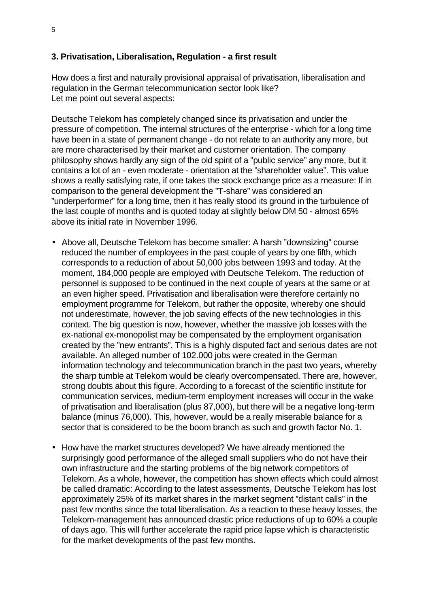### **3. Privatisation, Liberalisation, Regulation - a first result**

How does a first and naturally provisional appraisal of privatisation, liberalisation and regulation in the German telecommunication sector look like? Let me point out several aspects:

Deutsche Telekom has completely changed since its privatisation and under the pressure of competition. The internal structures of the enterprise - which for a long time have been in a state of permanent change - do not relate to an authority any more, but are more characterised by their market and customer orientation. The company philosophy shows hardly any sign of the old spirit of a "public service" any more, but it contains a lot of an - even moderate - orientation at the "shareholder value". This value shows a really satisfying rate, if one takes the stock exchange price as a measure: If in comparison to the general development the "T-share" was considered an "underperformer" for a long time, then it has really stood its ground in the turbulence of the last couple of months and is quoted today at slightly below DM 50 - almost 65% above its initial rate in November 1996.

- Above all, Deutsche Telekom has become smaller: A harsh "downsizing" course reduced the number of employees in the past couple of years by one fifth, which corresponds to a reduction of about 50,000 jobs between 1993 and today. At the moment, 184,000 people are employed with Deutsche Telekom. The reduction of personnel is supposed to be continued in the next couple of years at the same or at an even higher speed. Privatisation and liberalisation were therefore certainly no employment programme for Telekom, but rather the opposite, whereby one should not underestimate, however, the job saving effects of the new technologies in this context. The big question is now, however, whether the massive job losses with the ex-national ex-monopolist may be compensated by the employment organisation created by the "new entrants". This is a highly disputed fact and serious dates are not available. An alleged number of 102.000 jobs were created in the German information technology and telecommunication branch in the past two years, whereby the sharp tumble at Telekom would be clearly overcompensated. There are, however, strong doubts about this figure. According to a forecast of the scientific institute for communication services, medium-term employment increases will occur in the wake of privatisation and liberalisation (plus 87,000), but there will be a negative long-term balance (minus 76,000). This, however, would be a really miserable balance for a sector that is considered to be the boom branch as such and growth factor No. 1.
- How have the market structures developed? We have already mentioned the surprisingly good performance of the alleged small suppliers who do not have their own infrastructure and the starting problems of the big network competitors of Telekom. As a whole, however, the competition has shown effects which could almost be called dramatic: According to the latest assessments, Deutsche Telekom has lost approximately 25% of its market shares in the market segment "distant calls" in the past few months since the total liberalisation. As a reaction to these heavy losses, the Telekom-management has announced drastic price reductions of up to 60% a couple of days ago. This will further accelerate the rapid price lapse which is characteristic for the market developments of the past few months.